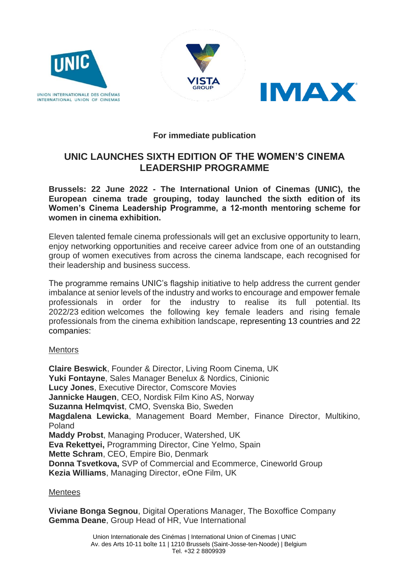





**For immediate publication**

# **UNIC LAUNCHES SIXTH EDITION OF THE WOMEN'S CINEMA LEADERSHIP PROGRAMME**

**Brussels: 22 June 2022 - The International Union of Cinemas (UNIC), the European cinema trade grouping, today launched the sixth edition of its Women's Cinema Leadership Programme, a 12-month mentoring scheme for women in cinema exhibition.**

Eleven talented female cinema professionals will get an exclusive opportunity to learn, enjoy networking opportunities and receive career advice from one of an outstanding group of women executives from across the cinema landscape, each recognised for their leadership and business success.

The programme remains UNIC's flagship initiative to help address the current gender imbalance at senior levels of the industry and works to encourage and empower female professionals in order for the industry to realise its full potential. Its 2022/23 edition welcomes the following key female leaders and rising female professionals from the cinema exhibition landscape, representing 13 countries and 22 companies:

### **Mentors**

**Claire Beswick**, Founder & Director, Living Room Cinema, UK **Yuki Fontayne**, Sales Manager Benelux & Nordics, Cinionic **Lucy Jones**, Executive Director, Comscore Movies **Jannicke Haugen**, CEO, Nordisk Film Kino AS, Norway **Suzanna Helmqvist**, CMO, Svenska Bio, Sweden **Magdalena Lewicka**, Management Board Member, Finance Director, Multikino, Poland **Maddy Probst**, Managing Producer, Watershed, UK **Eva Rekettyei,** Programming Director, Cine Yelmo, Spain **Mette Schram**, CEO, Empire Bio, Denmark **Donna Tsvetkova,** SVP of Commercial and Ecommerce, Cineworld Group **Kezia Williams**, Managing Director, eOne Film, UK

### **Mentees**

**Viviane Bonga Segnou**, Digital Operations Manager, The Boxoffice Company **Gemma Deane**, Group Head of HR, Vue International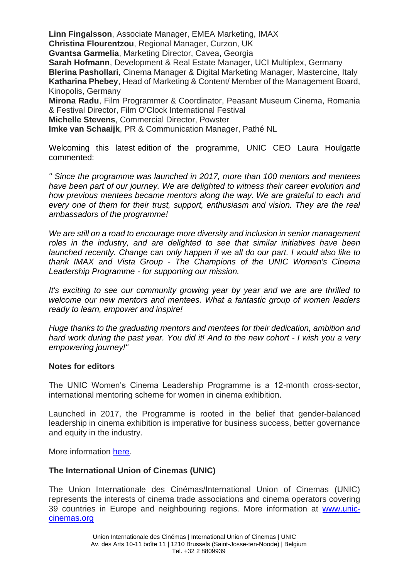**Linn Fingalsson**, Associate Manager, EMEA Marketing, IMAX **Christina Flourentzou**, Regional Manager, Curzon, UK

**Gvantsa Garmelia**, Marketing Director, Cavea, Georgia

**Sarah Hofmann**, Development & Real Estate Manager, UCI Multiplex, Germany

**Blerina Pashollari**, Cinema Manager & Digital Marketing Manager, Mastercine, Italy **Katharina Phebey**, Head of Marketing & Content/ Member of the Management Board, Kinopolis, Germany

**Mirona Radu**, Film Programmer & Coordinator, Peasant Museum Cinema, Romania & Festival Director, Film O'Clock International Festival

**Michelle Stevens**, Commercial Director, Powster

**Imke van Schaaijk**, PR & Communication Manager, Pathé NL

Welcoming this latest edition of the programme, UNIC CEO Laura Houlgatte commented:

*" Since the programme was launched in 2017, more than 100 mentors and mentees have been part of our journey. We are delighted to witness their career evolution and how previous mentees became mentors along the way. We are grateful to each and every one of them for their trust, support, enthusiasm and vision. They are the real ambassadors of the programme!*

*We are still on a road to encourage more diversity and inclusion in senior management roles in the industry, and are delighted to see that similar initiatives have been launched recently. Change can only happen if we all do our part. I would also like to thank IMAX and Vista Group - The Champions of the UNIC Women's Cinema Leadership Programme - for supporting our mission.* 

*It's exciting to see our community growing year by year and we are are thrilled to welcome our new mentors and mentees. What a fantastic group of women leaders ready to learn, empower and inspire!*

*Huge thanks to the graduating mentors and mentees for their dedication, ambition and hard work during the past year. You did it! And to the new cohort - I wish you a very empowering journey!"*

### **Notes for editors**

The UNIC Women's Cinema Leadership Programme is a 12-month cross-sector, international mentoring scheme for women in cinema exhibition.

Launched in 2017, the Programme is rooted in the belief that gender-balanced leadership in cinema exhibition is imperative for business success, better governance and equity in the industry.

More information [here.](https://www.unic-cinemas.org/industry/mentoring-scheme/)

### **The International Union of Cinemas (UNIC)**

The Union Internationale des Cinémas/International Union of Cinemas (UNIC) represents the interests of cinema trade associations and cinema operators covering 39 countries in Europe and neighbouring regions. More information at [www.unic](http://www.unic-cinemas.org/)[cinemas.org](http://www.unic-cinemas.org/)